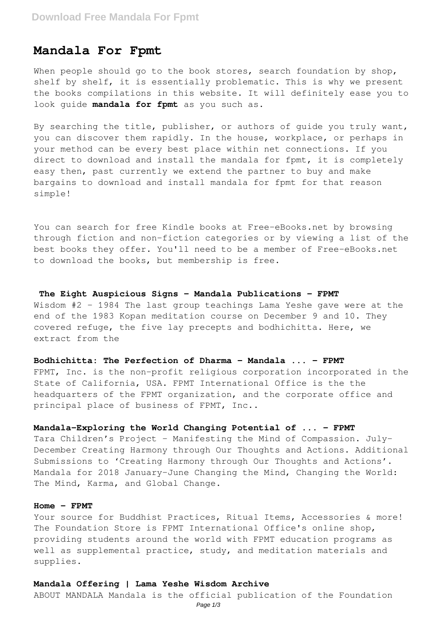# **Mandala For Fpmt**

When people should go to the book stores, search foundation by shop, shelf by shelf, it is essentially problematic. This is why we present the books compilations in this website. It will definitely ease you to look guide **mandala for fpmt** as you such as.

By searching the title, publisher, or authors of guide you truly want, you can discover them rapidly. In the house, workplace, or perhaps in your method can be every best place within net connections. If you direct to download and install the mandala for fpmt, it is completely easy then, past currently we extend the partner to buy and make bargains to download and install mandala for fpmt for that reason simple!

You can search for free Kindle books at Free-eBooks.net by browsing through fiction and non-fiction categories or by viewing a list of the best books they offer. You'll need to be a member of Free-eBooks.net to download the books, but membership is free.

## **The Eight Auspicious Signs - Mandala Publications - FPMT**

Wisdom #2 – 1984 The last group teachings Lama Yeshe gave were at the end of the 1983 Kopan meditation course on December 9 and 10. They covered refuge, the five lay precepts and bodhichitta. Here, we extract from the

### **Bodhichitta: The Perfection of Dharma - Mandala ... - FPMT**

FPMT, Inc. is the non-profit religious corporation incorporated in the State of California, USA. FPMT International Office is the the headquarters of the FPMT organization, and the corporate office and principal place of business of FPMT, Inc..

## **Mandala-Exploring the World Changing Potential of ... - FPMT**

Tara Children's Project – Manifesting the Mind of Compassion. July-December Creating Harmony through Our Thoughts and Actions. Additional Submissions to 'Creating Harmony through Our Thoughts and Actions'. Mandala for 2018 January-June Changing the Mind, Changing the World: The Mind, Karma, and Global Change.

## **Home - FPMT**

Your source for Buddhist Practices, Ritual Items, Accessories & more! The Foundation Store is FPMT International Office's online shop, providing students around the world with FPMT education programs as well as supplemental practice, study, and meditation materials and supplies.

## **Mandala Offering | Lama Yeshe Wisdom Archive**

ABOUT MANDALA Mandala is the official publication of the Foundation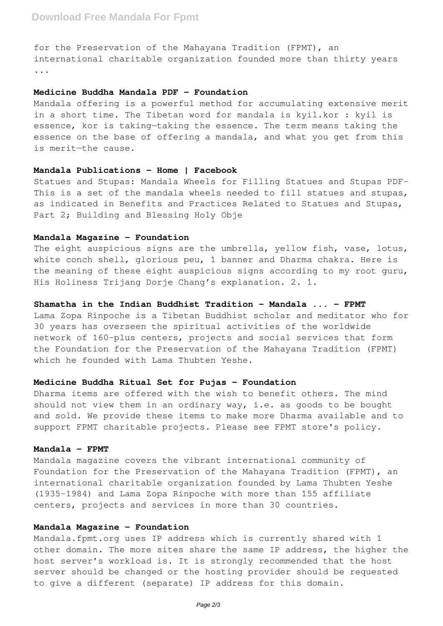for the Preservation of the Mahayana Tradition (FPMT), an international charitable organization founded more than thirty years ...

#### **Medicine Buddha Mandala PDF - Foundation**

Mandala offering is a powerful method for accumulating extensive merit in a short time. The Tibetan word for mandala is kyil.kor : kyil is essence, kor is taking—taking the essence. The term means taking the essence on the base of offering a mandala, and what you get from this is merit—the cause.

## **Mandala Publications - Home | Facebook**

Statues and Stupas: Mandala Wheels for Filling Statues and Stupas PDF-This is a set of the mandala wheels needed to fill statues and stupas, as indicated in Benefits and Practices Related to Statues and Stupas, Part 2; Building and Blessing Holy Obje

### **Mandala Magazine - Foundation**

The eight auspicious signs are the umbrella, yellow fish, vase, lotus, white conch shell, glorious peu, 1 banner and Dharma chakra. Here is the meaning of these eight auspicious signs according to my root guru, His Holiness Trijang Dorje Chang's explanation. 2. 1.

# **Shamatha in the Indian Buddhist Tradition - Mandala ... - FPMT**

Lama Zopa Rinpoche is a Tibetan Buddhist scholar and meditator who for 30 years has overseen the spiritual activities of the worldwide network of 160-plus centers, projects and social services that form the Foundation for the Preservation of the Mahayana Tradition (FPMT) which he founded with Lama Thubten Yeshe.

## **Medicine Buddha Ritual Set for Pujas - Foundation**

Dharma items are offered with the wish to benefit others. The mind should not view them in an ordinary way, i.e. as goods to be bought and sold. We provide these items to make more Dharma available and to support FPMT charitable projects. Please see FPMT store's policy.

## **Mandala - FPMT**

Mandala magazine covers the vibrant international community of Foundation for the Preservation of the Mahayana Tradition (FPMT), an international charitable organization founded by Lama Thubten Yeshe (1935-1984) and Lama Zopa Rinpoche with more than 155 affiliate centers, projects and services in more than 30 countries.

# **Mandala Magazine - Foundation**

Mandala.fpmt.org uses IP address which is currently shared with 1 other domain. The more sites share the same IP address, the higher the host server's workload is. It is strongly recommended that the host server should be changed or the hosting provider should be requested to give a different (separate) IP address for this domain.